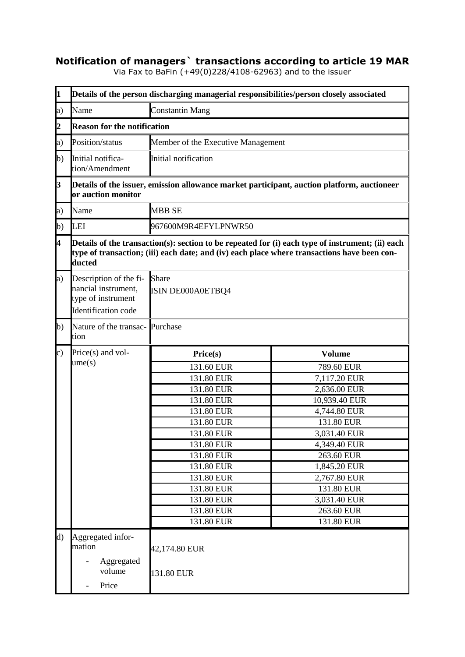## **Notification of managers` transactions according to article 19 MAR**

Via Fax to BaFin (+49(0)228/4108-62963) and to the issuer

| 1                       | Details of the person discharging managerial responsibilities/person closely associated                          |                                                                                                                                                                                                 |               |  |
|-------------------------|------------------------------------------------------------------------------------------------------------------|-------------------------------------------------------------------------------------------------------------------------------------------------------------------------------------------------|---------------|--|
| a)                      | Name                                                                                                             | <b>Constantin Mang</b>                                                                                                                                                                          |               |  |
| $\overline{c}$          |                                                                                                                  | <b>Reason for the notification</b>                                                                                                                                                              |               |  |
| a)                      | Position/status                                                                                                  | Member of the Executive Management                                                                                                                                                              |               |  |
| $\mathbf{b}$            | Initial notifica-<br>tion/Amendment                                                                              | Initial notification                                                                                                                                                                            |               |  |
| 3                       | Details of the issuer, emission allowance market participant, auction platform, auctioneer<br>or auction monitor |                                                                                                                                                                                                 |               |  |
| a)                      | Name                                                                                                             | <b>MBB SE</b>                                                                                                                                                                                   |               |  |
| $\mathbf{b}$            | LEI                                                                                                              | 967600M9R4EFYLPNWR50                                                                                                                                                                            |               |  |
| $\overline{\mathbf{4}}$ | ducted                                                                                                           | Details of the transaction(s): section to be repeated for (i) each type of instrument; (ii) each<br>type of transaction; (iii) each date; and (iv) each place where transactions have been con- |               |  |
| a)                      | Description of the fi-<br>nancial instrument,<br>type of instrument<br><b>Identification</b> code                | Share<br>ISIN DE000A0ETBQ4                                                                                                                                                                      |               |  |
| $\mathbf{b}$            | Nature of the transac- Purchase<br>tion                                                                          |                                                                                                                                                                                                 |               |  |
| $\mathbf{c})$           | Price $(s)$ and vol-<br>ume(s)                                                                                   | Price(s)                                                                                                                                                                                        | <b>Volume</b> |  |
|                         |                                                                                                                  | 131.60 EUR                                                                                                                                                                                      | 789.60 EUR    |  |
|                         |                                                                                                                  | 131.80 EUR                                                                                                                                                                                      | 7,117.20 EUR  |  |
|                         |                                                                                                                  | 131.80 EUR                                                                                                                                                                                      | 2,636.00 EUR  |  |
|                         |                                                                                                                  | 131.80 EUR                                                                                                                                                                                      | 10,939.40 EUR |  |
|                         |                                                                                                                  | 131.80 EUR                                                                                                                                                                                      | 4,744.80 EUR  |  |
|                         |                                                                                                                  | 131.80 EUR                                                                                                                                                                                      | 131.80 EUR    |  |
|                         |                                                                                                                  | 131.80 EUR                                                                                                                                                                                      | 3,031.40 EUR  |  |
|                         |                                                                                                                  | 131.80 EUR                                                                                                                                                                                      | 4,349.40 EUR  |  |
|                         |                                                                                                                  | 131.80 EUR                                                                                                                                                                                      | 263.60 EUR    |  |
|                         |                                                                                                                  | 131.80 EUR                                                                                                                                                                                      | 1,845.20 EUR  |  |
|                         |                                                                                                                  | 131.80 EUR                                                                                                                                                                                      | 2,767.80 EUR  |  |
|                         |                                                                                                                  | 131.80 EUR                                                                                                                                                                                      | 131.80 EUR    |  |
|                         |                                                                                                                  | 131.80 EUR                                                                                                                                                                                      | 3,031.40 EUR  |  |
|                         |                                                                                                                  | 131.80 EUR                                                                                                                                                                                      | 263.60 EUR    |  |
|                         |                                                                                                                  | 131.80 EUR                                                                                                                                                                                      | 131.80 EUR    |  |
| $\rm d$                 | Aggregated infor-<br>mation<br>Aggregated<br>volume<br>Price                                                     | 42,174.80 EUR<br>131.80 EUR                                                                                                                                                                     |               |  |